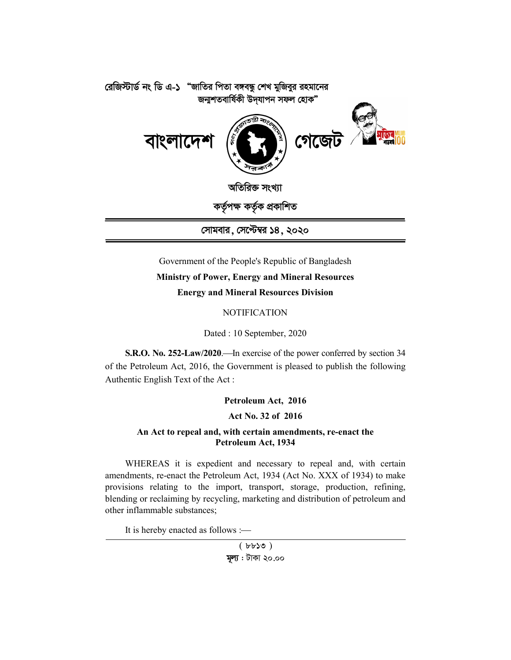

# Government of the People's Republic of Bangladesh **Ministry of Power, Energy and Mineral Resources Energy and Mineral Resources Division**

**NOTIFICATION** 

Dated : 10 September, 2020

**S.R.O. No. 252-Law/2020.** In exercise of the power conferred by section 34 of the Petroleum Act, 2016, the Government is pleased to publish the following Authentic English Text of the Act :

# **Petroleum Act, 2016**

# **Act No. 32 of 2016**

## **An Act to repeal and, with certain amendments, re-enact the Petroleum Act, 1934**

WHEREAS it is expedient and necessary to repeal and, with certain amendments, re-enact the Petroleum Act, 1934 (Act No. XXX of 1934) to make provisions relating to the import, transport, storage, production, refining, blending or reclaiming by recycling, marketing and distribution of petroleum and other inflammable substances;

It is hereby enacted as follows :

 $(bbb30)$ **মূল্য** : টাকা ২০.০০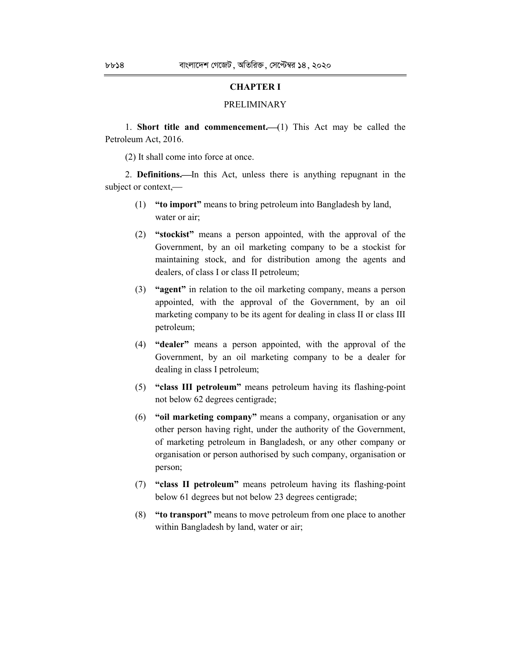### **CHAPTER I**

#### PRELIMINARY

1. **Short title and commencement.**  $(1)$  This Act may be called the Petroleum Act, 2016.

(2) It shall come into force at once.

2. **Definitions.**—In this Act, unless there is anything repugnant in the subject or context,

- (1) **"to import"** means to bring petroleum into Bangladesh by land, water or air;
- (2) **"stockist"** means a person appointed, with the approval of the Government, by an oil marketing company to be a stockist for maintaining stock, and for distribution among the agents and dealers, of class I or class II petroleum;
- (3) **"agent"** in relation to the oil marketing company, means a person appointed, with the approval of the Government, by an oil marketing company to be its agent for dealing in class II or class III petroleum;
- (4) **"dealer"** means a person appointed, with the approval of the Government, by an oil marketing company to be a dealer for dealing in class I petroleum;
- (5) **"class III petroleum"** means petroleum having its flashing-point not below 62 degrees centigrade;
- (6) **"oil marketing company"** means a company, organisation or any other person having right, under the authority of the Government, of marketing petroleum in Bangladesh, or any other company or organisation or person authorised by such company, organisation or person;
- (7) **"class II petroleum"** means petroleum having its flashing-point below 61 degrees but not below 23 degrees centigrade;
- (8) **"to transport"** means to move petroleum from one place to another within Bangladesh by land, water or air;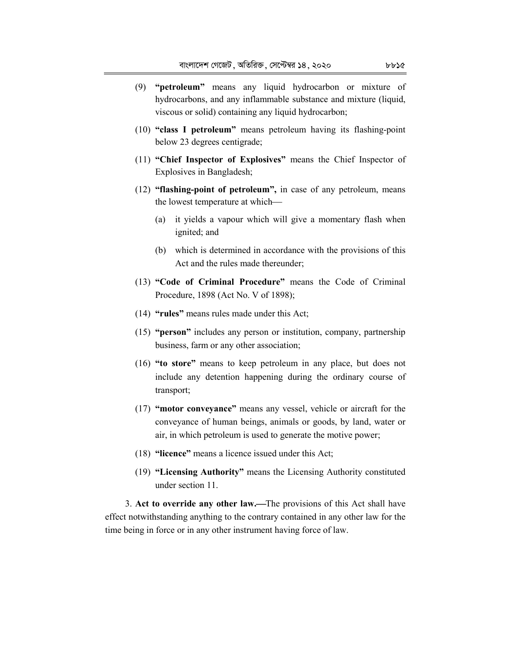- (9) **"petroleum"** means any liquid hydrocarbon or mixture of hydrocarbons, and any inflammable substance and mixture (liquid, viscous or solid) containing any liquid hydrocarbon;
- (10) **"class I petroleum"** means petroleum having its flashing-point below 23 degrees centigrade;
- (11) **"Chief Inspector of Explosives"** means the Chief Inspector of Explosives in Bangladesh;
- (12) **"flashing-point of petroleum",** in case of any petroleum, means the lowest temperature at which
	- (a) it yields a vapour which will give a momentary flash when ignited; and
	- (b) which is determined in accordance with the provisions of this Act and the rules made thereunder;
- (13) **"Code of Criminal Procedure"** means the Code of Criminal Procedure, 1898 (Act No. V of 1898);
- (14) **"rules"** means rules made under this Act;
- (15) **"person"** includes any person or institution, company, partnership business, farm or any other association;
- (16) **"to store"** means to keep petroleum in any place, but does not include any detention happening during the ordinary course of transport;
- (17) **"motor conveyance"** means any vessel, vehicle or aircraft for the conveyance of human beings, animals or goods, by land, water or air, in which petroleum is used to generate the motive power;
- (18) **"licence"** means a licence issued under this Act;
- (19) **"Licensing Authority"** means the Licensing Authority constituted under section 11.

3. **Act to override any other law.**The provisions of this Act shall have effect notwithstanding anything to the contrary contained in any other law for the time being in force or in any other instrument having force of law.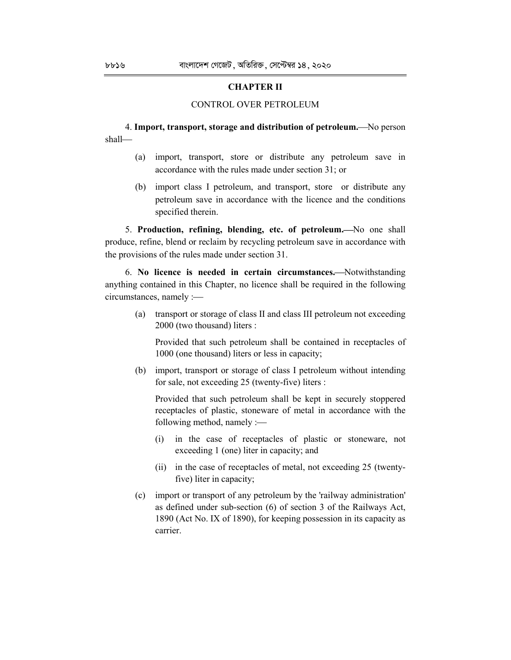### **CHAPTER II**

#### CONTROL OVER PETROLEUM

### 4. **Import, transport, storage and distribution of petroleum.**No person shall

- (a) import, transport, store or distribute any petroleum save in accordance with the rules made under section 31; or
- (b) import class I petroleum, and transport, store or distribute any petroleum save in accordance with the licence and the conditions specified therein.

5. Production, refining, blending, etc. of petroleum. No one shall produce, refine, blend or reclaim by recycling petroleum save in accordance with the provisions of the rules made under section 31.

6. **No licence is needed in certain circumstances.**Notwithstanding anything contained in this Chapter, no licence shall be required in the following circumstances, namely :

(a) transport or storage of class II and class III petroleum not exceeding 2000 (two thousand) liters :

Provided that such petroleum shall be contained in receptacles of 1000 (one thousand) liters or less in capacity;

(b) import, transport or storage of class I petroleum without intending for sale, not exceeding 25 (twenty-five) liters :

Provided that such petroleum shall be kept in securely stoppered receptacles of plastic, stoneware of metal in accordance with the following method, namely :

- (i) in the case of receptacles of plastic or stoneware, not exceeding 1 (one) liter in capacity; and
- (ii) in the case of receptacles of metal, not exceeding 25 (twentyfive) liter in capacity;
- (c) import or transport of any petroleum by the 'railway administration' as defined under sub-section (6) of section 3 of the Railways Act, 1890 (Act No. IX of 1890), for keeping possession in its capacity as carrier.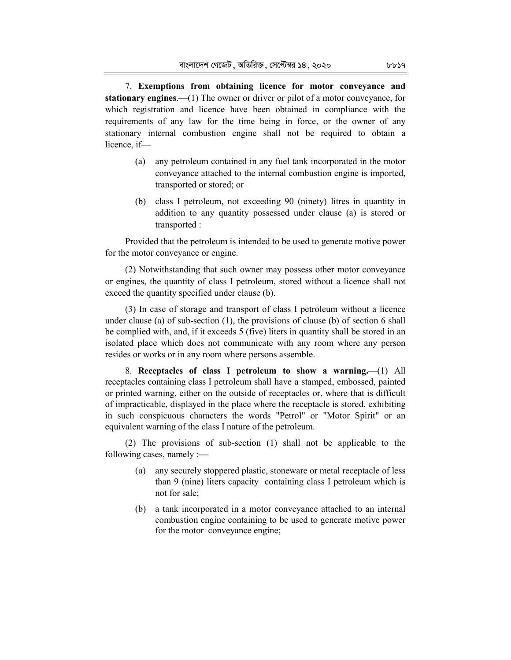7. **Exemptions from obtaining licence for motor conveyance and stationary engines.** (1) The owner or driver or pilot of a motor conveyance, for which registration and licence have been obtained in compliance with the requirements of any law for the time being in force, or the owner of any stationary internal combustion engine shall not be required to obtain a licence, if

- (a) any petroleum contained in any fuel tank incorporated in the motor conveyance attached to the internal combustion engine is imported, transported or stored; or
- (b) class I petroleum, not exceeding 90 (ninety) litres in quantity in addition to any quantity possessed under clause (a) is stored or transported :

Provided that the petroleum is intended to be used to generate motive power for the motor conveyance or engine.

(2) Notwithstanding that such owner may possess other motor conveyance or engines, the quantity of class I petroleum, stored without a licence shall not exceed the quantity specified under clause (b).

(3) In case of storage and transport of class I petroleum without a licence under clause (a) of sub-section (1), the provisions of clause (b) of section 6 shall be complied with, and, if it exceeds 5 (five) liters in quantity shall be stored in an isolated place which does not communicate with any room where any person resides or works or in any room where persons assemble.

8. Receptacles of class I petroleum to show a warning. (1) All receptacles containing class I petroleum shall have a stamped, embossed, painted or printed warning, either on the outside of receptacles or, where that is difficult of impracticable, displayed in the place where the receptacle is stored, exhibiting in such conspicuous characters the words "Petrol" or "Motor Spirit" or an equivalent warning of the class I nature of the petroleum.

(2) The provisions of sub-section (1) shall not be applicable to the following cases, namely :

- (a) any securely stoppered plastic, stoneware or metal receptacle of less than 9 (nine) liters capacity containing class I petroleum which is not for sale;
- (b) a tank incorporated in a motor conveyance attached to an internal combustion engine containing to be used to generate motive power for the motor conveyance engine;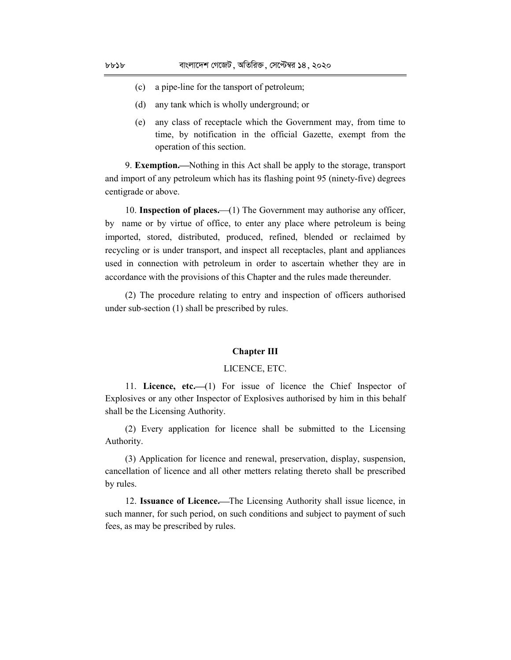- (c) a pipe-line for the tansport of petroleum;
- (d) any tank which is wholly underground; or
- (e) any class of receptacle which the Government may, from time to time, by notification in the official Gazette, exempt from the operation of this section.

9. **Exemption.**Nothing in this Act shall be apply to the storage, transport and import of any petroleum which has its flashing point 95 (ninety-five) degrees centigrade or above.

10. **Inspection of places.** (1) The Government may authorise any officer, by name or by virtue of office, to enter any place where petroleum is being imported, stored, distributed, produced, refined, blended or reclaimed by recycling or is under transport, and inspect all receptacles, plant and appliances used in connection with petroleum in order to ascertain whether they are in accordance with the provisions of this Chapter and the rules made thereunder.

(2) The procedure relating to entry and inspection of officers authorised under sub-section (1) shall be prescribed by rules.

#### **Chapter III**

#### LICENCE, ETC.

11. **Licence, etc.**(1) For issue of licence the Chief Inspector of Explosives or any other Inspector of Explosives authorised by him in this behalf shall be the Licensing Authority.

(2) Every application for licence shall be submitted to the Licensing Authority.

(3) Application for licence and renewal, preservation, display, suspension, cancellation of licence and all other metters relating thereto shall be prescribed by rules.

12. **Issuance of Licence.**The Licensing Authority shall issue licence, in such manner, for such period, on such conditions and subject to payment of such fees, as may be prescribed by rules.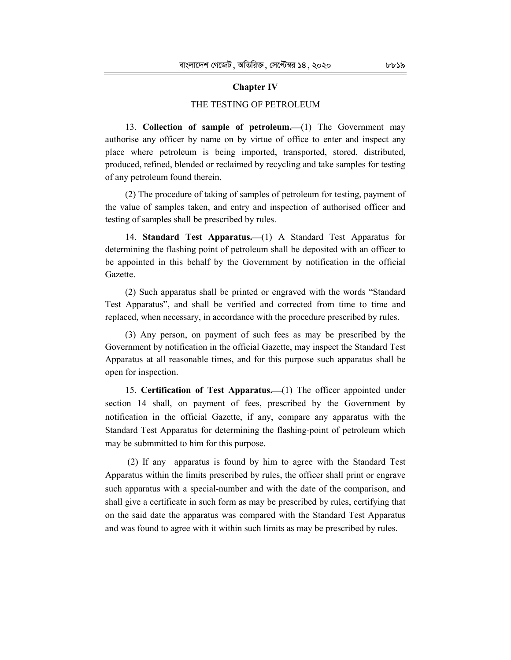#### **Chapter IV**

#### THE TESTING OF PETROLEUM

13. **Collection of sample of petroleum.** (1) The Government may authorise any officer by name on by virtue of office to enter and inspect any place where petroleum is being imported, transported, stored, distributed, produced, refined, blended or reclaimed by recycling and take samples for testing of any petroleum found therein.

(2) The procedure of taking of samples of petroleum for testing, payment of the value of samples taken, and entry and inspection of authorised officer and testing of samples shall be prescribed by rules.

14. **Standard Test Apparatus.** (1) A Standard Test Apparatus for determining the flashing point of petroleum shall be deposited with an officer to be appointed in this behalf by the Government by notification in the official Gazette.

(2) Such apparatus shall be printed or engraved with the words "Standard Test Apparatus", and shall be verified and corrected from time to time and replaced, when necessary, in accordance with the procedure prescribed by rules.

(3) Any person, on payment of such fees as may be prescribed by the Government by notification in the official Gazette, may inspect the Standard Test Apparatus at all reasonable times, and for this purpose such apparatus shall be open for inspection.

15. **Certification of Test Apparatus.** (1) The officer appointed under section 14 shall, on payment of fees, prescribed by the Government by notification in the official Gazette, if any, compare any apparatus with the Standard Test Apparatus for determining the flashing-point of petroleum which may be submmitted to him for this purpose.

 (2) If any apparatus is found by him to agree with the Standard Test Apparatus within the limits prescribed by rules, the officer shall print or engrave such apparatus with a special-number and with the date of the comparison, and shall give a certificate in such form as may be prescribed by rules, certifying that on the said date the apparatus was compared with the Standard Test Apparatus and was found to agree with it within such limits as may be prescribed by rules.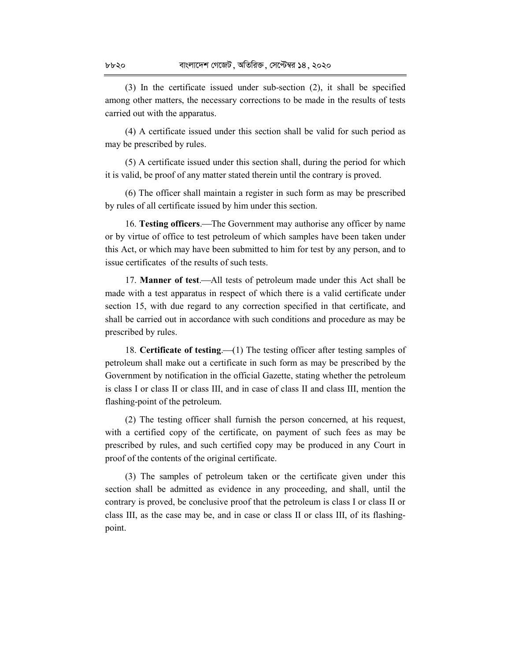(3) In the certificate issued under sub-section (2), it shall be specified among other matters, the necessary corrections to be made in the results of tests carried out with the apparatus.

(4) A certificate issued under this section shall be valid for such period as may be prescribed by rules.

(5) A certificate issued under this section shall, during the period for which it is valid, be proof of any matter stated therein until the contrary is proved.

(6) The officer shall maintain a register in such form as may be prescribed by rules of all certificate issued by him under this section.

16. **Testing officers.**—The Government may authorise any officer by name or by virtue of office to test petroleum of which samples have been taken under this Act, or which may have been submitted to him for test by any person, and to issue certificates of the results of such tests.

17. **Manner of test.**—All tests of petroleum made under this Act shall be made with a test apparatus in respect of which there is a valid certificate under section 15, with due regard to any correction specified in that certificate, and shall be carried out in accordance with such conditions and procedure as may be prescribed by rules.

18. **Certificate of testing.** (1) The testing officer after testing samples of petroleum shall make out a certificate in such form as may be prescribed by the Government by notification in the official Gazette, stating whether the petroleum is class I or class II or class III, and in case of class II and class III, mention the flashing-point of the petroleum.

(2) The testing officer shall furnish the person concerned, at his request, with a certified copy of the certificate, on payment of such fees as may be prescribed by rules, and such certified copy may be produced in any Court in proof of the contents of the original certificate.

(3) The samples of petroleum taken or the certificate given under this section shall be admitted as evidence in any proceeding, and shall, until the contrary is proved, be conclusive proof that the petroleum is class I or class II or class III, as the case may be, and in case or class II or class III, of its flashingpoint.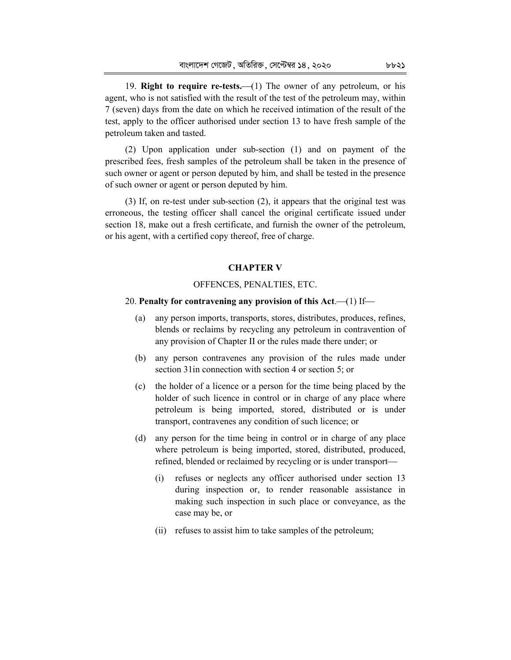19. **Right to require re-tests.** (1) The owner of any petroleum, or his agent, who is not satisfied with the result of the test of the petroleum may, within 7 (seven) days from the date on which he received intimation of the result of the test, apply to the officer authorised under section 13 to have fresh sample of the petroleum taken and tasted.

(2) Upon application under sub-section (1) and on payment of the prescribed fees, fresh samples of the petroleum shall be taken in the presence of such owner or agent or person deputed by him, and shall be tested in the presence of such owner or agent or person deputed by him.

(3) If, on re-test under sub-section (2), it appears that the original test was erroneous, the testing officer shall cancel the original certificate issued under section 18, make out a fresh certificate, and furnish the owner of the petroleum, or his agent, with a certified copy thereof, free of charge.

#### **CHAPTER V**

#### OFFENCES, PENALTIES, ETC.

#### 20. **Penalty for contravening any provision of this Act.** (1) If-

- (a) any person imports, transports, stores, distributes, produces, refines, blends or reclaims by recycling any petroleum in contravention of any provision of Chapter II or the rules made there under; or
- (b) any person contravenes any provision of the rules made under section 31in connection with section 4 or section 5; or
- (c) the holder of a licence or a person for the time being placed by the holder of such licence in control or in charge of any place where petroleum is being imported, stored, distributed or is under transport, contravenes any condition of such licence; or
- (d) any person for the time being in control or in charge of any place where petroleum is being imported, stored, distributed, produced, refined, blended or reclaimed by recycling or is under transport
	- (i) refuses or neglects any officer authorised under section 13 during inspection or, to render reasonable assistance in making such inspection in such place or conveyance, as the case may be, or
	- (ii) refuses to assist him to take samples of the petroleum;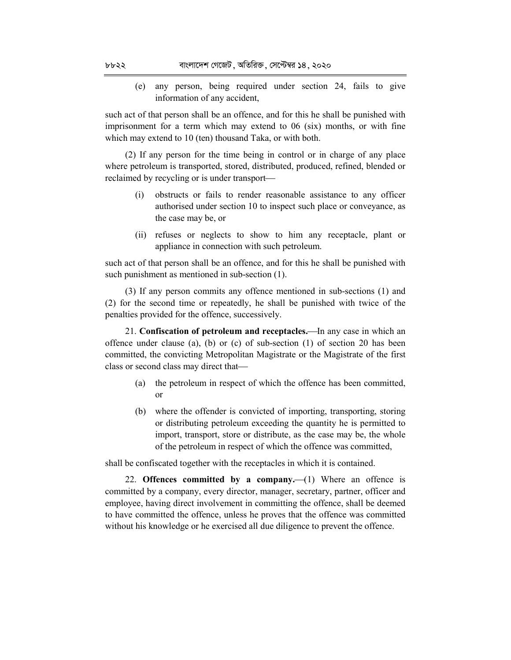(e) any person, being required under section 24, fails to give information of any accident,

such act of that person shall be an offence, and for this he shall be punished with imprisonment for a term which may extend to 06 (six) months, or with fine which may extend to 10 (ten) thousand Taka, or with both.

(2) If any person for the time being in control or in charge of any place where petroleum is transported, stored, distributed, produced, refined, blended or reclaimed by recycling or is under transport

- (i) obstructs or fails to render reasonable assistance to any officer authorised under section 10 to inspect such place or conveyance, as the case may be, or
- (ii) refuses or neglects to show to him any receptacle, plant or appliance in connection with such petroleum.

such act of that person shall be an offence, and for this he shall be punished with such punishment as mentioned in sub-section (1).

(3) If any person commits any offence mentioned in sub-sections (1) and (2) for the second time or repeatedly, he shall be punished with twice of the penalties provided for the offence, successively.

21. **Confiscation of petroleum and receptacles.**In any case in which an offence under clause (a), (b) or (c) of sub-section (1) of section 20 has been committed, the convicting Metropolitan Magistrate or the Magistrate of the first class or second class may direct that

- (a) the petroleum in respect of which the offence has been committed, or
- (b) where the offender is convicted of importing, transporting, storing or distributing petroleum exceeding the quantity he is permitted to import, transport, store or distribute, as the case may be, the whole of the petroleum in respect of which the offence was committed,

shall be confiscated together with the receptacles in which it is contained.

22. **Offences committed by a company.**  $(1)$  Where an offence is committed by a company, every director, manager, secretary, partner, officer and employee, having direct involvement in committing the offence, shall be deemed to have committed the offence, unless he proves that the offence was committed without his knowledge or he exercised all due diligence to prevent the offence.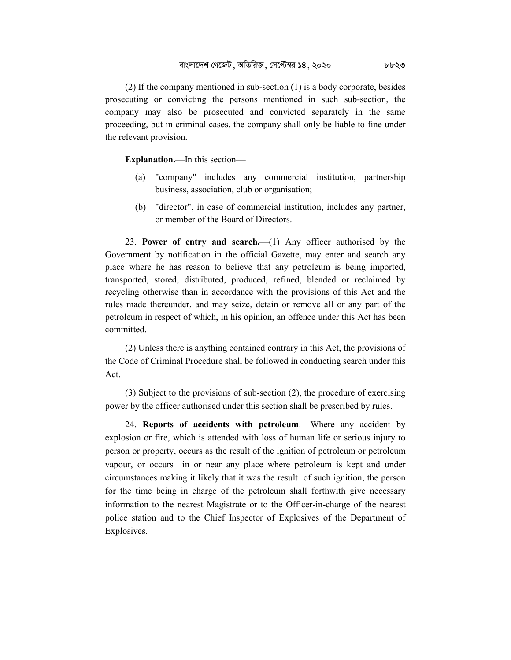(2) If the company mentioned in sub-section (1) is a body corporate, besides prosecuting or convicting the persons mentioned in such sub-section, the company may also be prosecuted and convicted separately in the same proceeding, but in criminal cases, the company shall only be liable to fine under the relevant provision.

**Explanation.**—In this section—

- (a) "company" includes any commercial institution, partnership business, association, club or organisation;
- (b) "director", in case of commercial institution, includes any partner, or member of the Board of Directors.

23. **Power of entry and search.** (1) Any officer authorised by the Government by notification in the official Gazette, may enter and search any place where he has reason to believe that any petroleum is being imported, transported, stored, distributed, produced, refined, blended or reclaimed by recycling otherwise than in accordance with the provisions of this Act and the rules made thereunder, and may seize, detain or remove all or any part of the petroleum in respect of which, in his opinion, an offence under this Act has been committed.

(2) Unless there is anything contained contrary in this Act, the provisions of the Code of Criminal Procedure shall be followed in conducting search under this Act.

(3) Subject to the provisions of sub-section (2), the procedure of exercising power by the officer authorised under this section shall be prescribed by rules.

24. **Reports of accidents with petroleum.—Where any accident by** explosion or fire, which is attended with loss of human life or serious injury to person or property, occurs as the result of the ignition of petroleum or petroleum vapour, or occurs in or near any place where petroleum is kept and under circumstances making it likely that it was the result of such ignition, the person for the time being in charge of the petroleum shall forthwith give necessary information to the nearest Magistrate or to the Officer-in-charge of the nearest police station and to the Chief Inspector of Explosives of the Department of Explosives.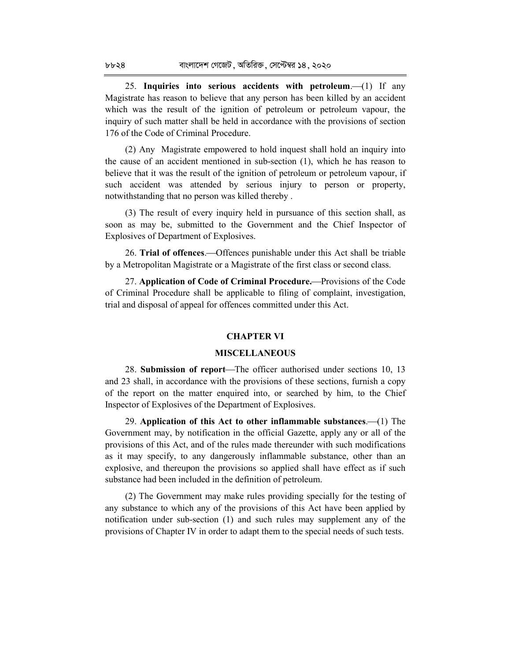25. **Inquiries into serious accidents with petroleum.** (1) If any Magistrate has reason to believe that any person has been killed by an accident which was the result of the ignition of petroleum or petroleum vapour, the inquiry of such matter shall be held in accordance with the provisions of section 176 of the Code of Criminal Procedure.

(2) Any Magistrate empowered to hold inquest shall hold an inquiry into the cause of an accident mentioned in sub-section (1), which he has reason to believe that it was the result of the ignition of petroleum or petroleum vapour, if such accident was attended by serious injury to person or property, notwithstanding that no person was killed thereby .

(3) The result of every inquiry held in pursuance of this section shall, as soon as may be, submitted to the Government and the Chief Inspector of Explosives of Department of Explosives.

26. **Trial of offences.—**Offences punishable under this Act shall be triable by a Metropolitan Magistrate or a Magistrate of the first class or second class.

27. **Application of Code of Criminal Procedure.**Provisions of the Code of Criminal Procedure shall be applicable to filing of complaint, investigation, trial and disposal of appeal for offences committed under this Act.

#### **CHAPTER VI**

#### **MISCELLANEOUS**

28. **Submission of report—The officer authorised under sections 10, 13** and 23 shall, in accordance with the provisions of these sections, furnish a copy of the report on the matter enquired into, or searched by him, to the Chief Inspector of Explosives of the Department of Explosives.

29. **Application of this Act to other inflammable substances.** (1) The Government may, by notification in the official Gazette, apply any or all of the provisions of this Act, and of the rules made thereunder with such modifications as it may specify, to any dangerously inflammable substance, other than an explosive, and thereupon the provisions so applied shall have effect as if such substance had been included in the definition of petroleum.

(2) The Government may make rules providing specially for the testing of any substance to which any of the provisions of this Act have been applied by notification under sub-section (1) and such rules may supplement any of the provisions of Chapter IV in order to adapt them to the special needs of such tests.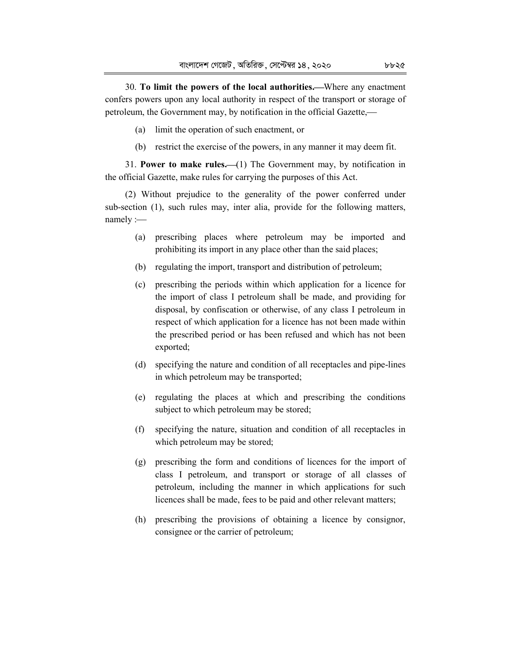30. **To limit the powers of the local authorities.**Where any enactment confers powers upon any local authority in respect of the transport or storage of petroleum, the Government may, by notification in the official Gazette,

- (a) limit the operation of such enactment, or
- (b) restrict the exercise of the powers, in any manner it may deem fit.

31. **Power to make rules.** (1) The Government may, by notification in the official Gazette, make rules for carrying the purposes of this Act.

(2) Without prejudice to the generality of the power conferred under sub-section (1), such rules may, inter alia, provide for the following matters, namely :-

- (a) prescribing places where petroleum may be imported and prohibiting its import in any place other than the said places;
- (b) regulating the import, transport and distribution of petroleum;
- (c) prescribing the periods within which application for a licence for the import of class I petroleum shall be made, and providing for disposal, by confiscation or otherwise, of any class I petroleum in respect of which application for a licence has not been made within the prescribed period or has been refused and which has not been exported;
- (d) specifying the nature and condition of all receptacles and pipe-lines in which petroleum may be transported;
- (e) regulating the places at which and prescribing the conditions subject to which petroleum may be stored;
- (f) specifying the nature, situation and condition of all receptacles in which petroleum may be stored;
- (g) prescribing the form and conditions of licences for the import of class I petroleum, and transport or storage of all classes of petroleum, including the manner in which applications for such licences shall be made, fees to be paid and other relevant matters;
- (h) prescribing the provisions of obtaining a licence by consignor, consignee or the carrier of petroleum;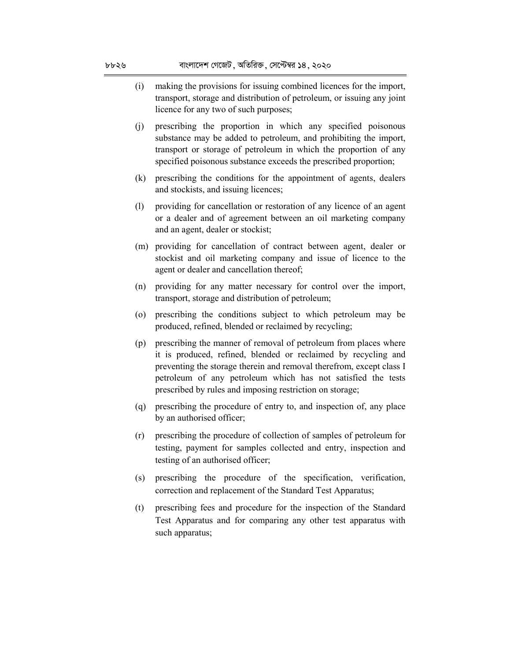- (i) making the provisions for issuing combined licences for the import, transport, storage and distribution of petroleum, or issuing any joint licence for any two of such purposes;
- (j) prescribing the proportion in which any specified poisonous substance may be added to petroleum, and prohibiting the import, transport or storage of petroleum in which the proportion of any specified poisonous substance exceeds the prescribed proportion;
- (k) prescribing the conditions for the appointment of agents, dealers and stockists, and issuing licences;
- (l) providing for cancellation or restoration of any licence of an agent or a dealer and of agreement between an oil marketing company and an agent, dealer or stockist;
- (m) providing for cancellation of contract between agent, dealer or stockist and oil marketing company and issue of licence to the agent or dealer and cancellation thereof;
- (n) providing for any matter necessary for control over the import, transport, storage and distribution of petroleum;
- (o) prescribing the conditions subject to which petroleum may be produced, refined, blended or reclaimed by recycling;
- (p) prescribing the manner of removal of petroleum from places where it is produced, refined, blended or reclaimed by recycling and preventing the storage therein and removal therefrom, except class I petroleum of any petroleum which has not satisfied the tests prescribed by rules and imposing restriction on storage;
- (q) prescribing the procedure of entry to, and inspection of, any place by an authorised officer;
- (r) prescribing the procedure of collection of samples of petroleum for testing, payment for samples collected and entry, inspection and testing of an authorised officer;
- (s) prescribing the procedure of the specification, verification, correction and replacement of the Standard Test Apparatus;
- (t) prescribing fees and procedure for the inspection of the Standard Test Apparatus and for comparing any other test apparatus with such apparatus;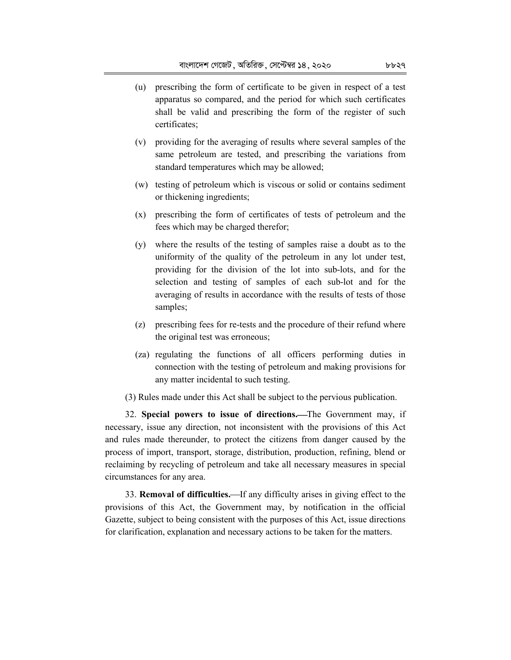- (u) prescribing the form of certificate to be given in respect of a test apparatus so compared, and the period for which such certificates shall be valid and prescribing the form of the register of such certificates;
- (v) providing for the averaging of results where several samples of the same petroleum are tested, and prescribing the variations from standard temperatures which may be allowed;
- (w) testing of petroleum which is viscous or solid or contains sediment or thickening ingredients;
- (x) prescribing the form of certificates of tests of petroleum and the fees which may be charged therefor;
- (y) where the results of the testing of samples raise a doubt as to the uniformity of the quality of the petroleum in any lot under test, providing for the division of the lot into sub-lots, and for the selection and testing of samples of each sub-lot and for the averaging of results in accordance with the results of tests of those samples;
- (z) prescribing fees for re-tests and the procedure of their refund where the original test was erroneous;
- (za) regulating the functions of all officers performing duties in connection with the testing of petroleum and making provisions for any matter incidental to such testing.
- (3) Rules made under this Act shall be subject to the pervious publication.

32. **Special powers to issue of directions.**The Government may, if necessary, issue any direction, not inconsistent with the provisions of this Act and rules made thereunder, to protect the citizens from danger caused by the process of import, transport, storage, distribution, production, refining, blend or reclaiming by recycling of petroleum and take all necessary measures in special circumstances for any area.

33. **Removal of difficulties.**—If any difficulty arises in giving effect to the provisions of this Act, the Government may, by notification in the official Gazette, subject to being consistent with the purposes of this Act, issue directions for clarification, explanation and necessary actions to be taken for the matters.